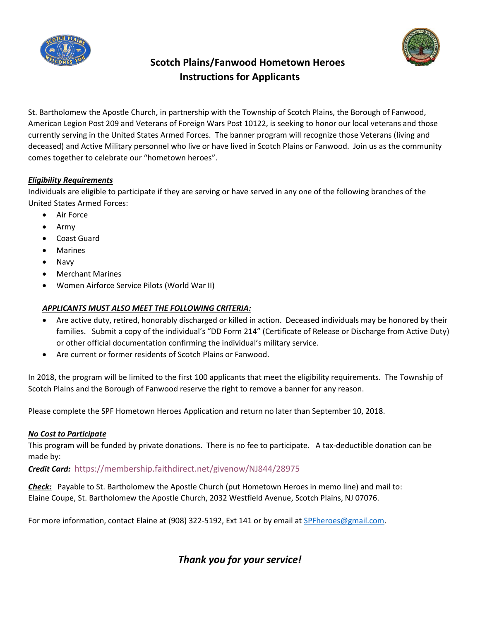



## **Scotch Plains/Fanwood Hometown Heroes Instructions for Applicants**

St. Bartholomew the Apostle Church, in partnership with the Township of Scotch Plains, the Borough of Fanwood, American Legion Post 209 and Veterans of Foreign Wars Post 10122, is seeking to honor our local veterans and those currently serving in the United States Armed Forces. The banner program will recognize those Veterans (living and deceased) and Active Military personnel who live or have lived in Scotch Plains or Fanwood. Join us as the community comes together to celebrate our "hometown heroes".

### *Eligibility Requirements*

Individuals are eligible to participate if they are serving or have served in any one of the following branches of the United States Armed Forces:

- Air Force
- Army
- Coast Guard
- **Marines**
- Navy
- Merchant Marines
- Women Airforce Service Pilots (World War II)

## *APPLICANTS MUST ALSO MEET THE FOLLOWING CRITERIA:*

- Are active duty, retired, honorably discharged or killed in action. Deceased individuals may be honored by their families. Submit a copy of the individual's "DD Form 214" (Certificate of Release or Discharge from Active Duty) or other official documentation confirming the individual's military service.
- Are current or former residents of Scotch Plains or Fanwood.

In 2018, the program will be limited to the first 100 applicants that meet the eligibility requirements. The Township of Scotch Plains and the Borough of Fanwood reserve the right to remove a banner for any reason.

Please complete the SPF Hometown Heroes Application and return no later than September 10, 2018.

### *No Cost to Participate*

This program will be funded by private donations. There is no fee to participate. A tax-deductible donation can be made by:

*Credit Card:* <https://membership.faithdirect.net/givenow/NJ844/28975>

*Check:* Payable to St. Bartholomew the Apostle Church (put Hometown Heroes in memo line) and mail to: Elaine Coupe, St. Bartholomew the Apostle Church, 2032 Westfield Avenue, Scotch Plains, NJ 07076.

For more information, contact Elaine at (908) 322-5192, Ext 141 or by email a[t SPFheroes@gmail.com.](mailto:SPFheroes@gmail.com)

## *Thank you for your service!*